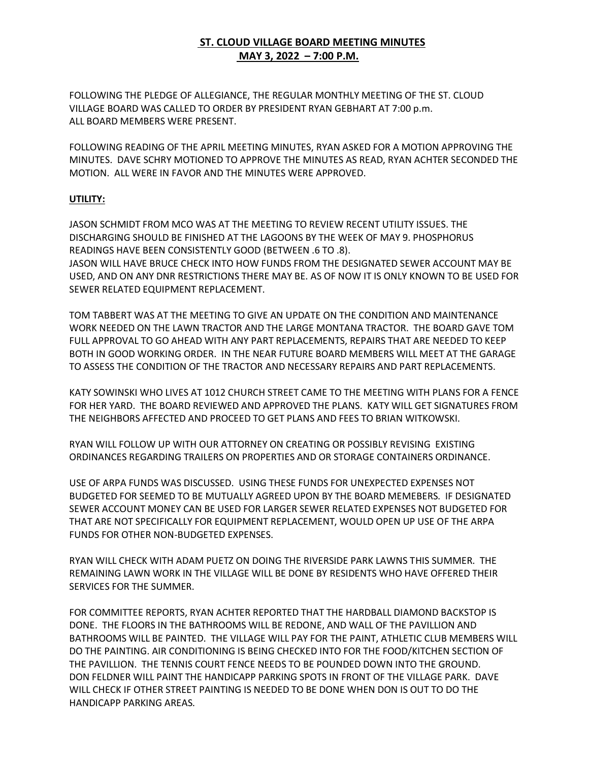## **ST. CLOUD VILLAGE BOARD MEETING MINUTES MAY 3, 2022 – 7:00 P.M.**

FOLLOWING THE PLEDGE OF ALLEGIANCE, THE REGULAR MONTHLY MEETING OF THE ST. CLOUD VILLAGE BOARD WAS CALLED TO ORDER BY PRESIDENT RYAN GEBHART AT 7:00 p.m. ALL BOARD MEMBERS WERE PRESENT.

FOLLOWING READING OF THE APRIL MEETING MINUTES, RYAN ASKED FOR A MOTION APPROVING THE MINUTES. DAVE SCHRY MOTIONED TO APPROVE THE MINUTES AS READ, RYAN ACHTER SECONDED THE MOTION. ALL WERE IN FAVOR AND THE MINUTES WERE APPROVED.

## **UTILITY:**

JASON SCHMIDT FROM MCO WAS AT THE MEETING TO REVIEW RECENT UTILITY ISSUES. THE DISCHARGING SHOULD BE FINISHED AT THE LAGOONS BY THE WEEK OF MAY 9. PHOSPHORUS READINGS HAVE BEEN CONSISTENTLY GOOD (BETWEEN .6 TO .8). JASON WILL HAVE BRUCE CHECK INTO HOW FUNDS FROM THE DESIGNATED SEWER ACCOUNT MAY BE USED, AND ON ANY DNR RESTRICTIONS THERE MAY BE. AS OF NOW IT IS ONLY KNOWN TO BE USED FOR SEWER RELATED EQUIPMENT REPLACEMENT.

TOM TABBERT WAS AT THE MEETING TO GIVE AN UPDATE ON THE CONDITION AND MAINTENANCE WORK NEEDED ON THE LAWN TRACTOR AND THE LARGE MONTANA TRACTOR. THE BOARD GAVE TOM FULL APPROVAL TO GO AHEAD WITH ANY PART REPLACEMENTS, REPAIRS THAT ARE NEEDED TO KEEP BOTH IN GOOD WORKING ORDER. IN THE NEAR FUTURE BOARD MEMBERS WILL MEET AT THE GARAGE TO ASSESS THE CONDITION OF THE TRACTOR AND NECESSARY REPAIRS AND PART REPLACEMENTS.

KATY SOWINSKI WHO LIVES AT 1012 CHURCH STREET CAME TO THE MEETING WITH PLANS FOR A FENCE FOR HER YARD. THE BOARD REVIEWED AND APPROVED THE PLANS. KATY WILL GET SIGNATURES FROM THE NEIGHBORS AFFECTED AND PROCEED TO GET PLANS AND FEES TO BRIAN WITKOWSKI.

RYAN WILL FOLLOW UP WITH OUR ATTORNEY ON CREATING OR POSSIBLY REVISING EXISTING ORDINANCES REGARDING TRAILERS ON PROPERTIES AND OR STORAGE CONTAINERS ORDINANCE.

USE OF ARPA FUNDS WAS DISCUSSED. USING THESE FUNDS FOR UNEXPECTED EXPENSES NOT BUDGETED FOR SEEMED TO BE MUTUALLY AGREED UPON BY THE BOARD MEMEBERS. IF DESIGNATED SEWER ACCOUNT MONEY CAN BE USED FOR LARGER SEWER RELATED EXPENSES NOT BUDGETED FOR THAT ARE NOT SPECIFICALLY FOR EQUIPMENT REPLACEMENT, WOULD OPEN UP USE OF THE ARPA FUNDS FOR OTHER NON-BUDGETED EXPENSES.

RYAN WILL CHECK WITH ADAM PUETZ ON DOING THE RIVERSIDE PARK LAWNS THIS SUMMER. THE REMAINING LAWN WORK IN THE VILLAGE WILL BE DONE BY RESIDENTS WHO HAVE OFFERED THEIR SERVICES FOR THE SUMMER.

FOR COMMITTEE REPORTS, RYAN ACHTER REPORTED THAT THE HARDBALL DIAMOND BACKSTOP IS DONE. THE FLOORS IN THE BATHROOMS WILL BE REDONE, AND WALL OF THE PAVILLION AND BATHROOMS WILL BE PAINTED. THE VILLAGE WILL PAY FOR THE PAINT, ATHLETIC CLUB MEMBERS WILL DO THE PAINTING. AIR CONDITIONING IS BEING CHECKED INTO FOR THE FOOD/KITCHEN SECTION OF THE PAVILLION. THE TENNIS COURT FENCE NEEDS TO BE POUNDED DOWN INTO THE GROUND. DON FELDNER WILL PAINT THE HANDICAPP PARKING SPOTS IN FRONT OF THE VILLAGE PARK. DAVE WILL CHECK IF OTHER STREET PAINTING IS NEEDED TO BE DONE WHEN DON IS OUT TO DO THE HANDICAPP PARKING AREAS.